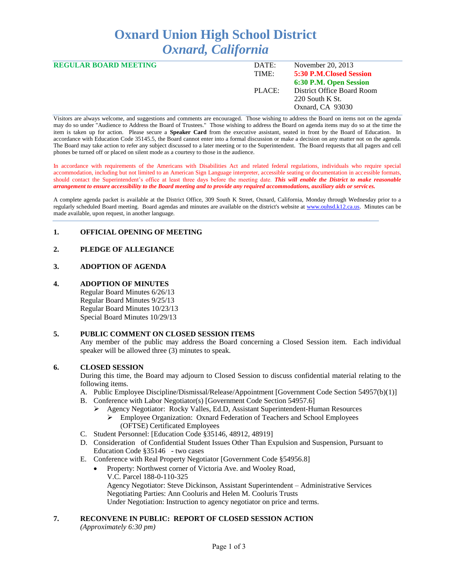# **Oxnard Union High School District** *Oxnard, California*

| <b>REGULAR BOARD MEETING</b> | DATE:  | November 20, 2013          |
|------------------------------|--------|----------------------------|
|                              | TIME:  | 5:30 P.M. Closed Session   |
|                              |        | 6:30 P.M. Open Session     |
|                              | PLACE: | District Office Board Room |
|                              |        | 220 South K St.            |
|                              |        | Oxnard, CA 93030           |
|                              |        |                            |

Visitors are always welcome, and suggestions and comments are encouraged. Those wishing to address the Board on items not on the agenda may do so under "Audience to Address the Board of Trustees." Those wishing to address the Board on agenda items may do so at the time the item is taken up for action. Please secure a **Speaker Card** from the executive assistant, seated in front by the Board of Education. In accordance with Education Code 35145.5, the Board cannot enter into a formal discussion or make a decision on any matter not on the agenda. The Board may take action to refer any subject discussed to a later meeting or to the Superintendent. The Board requests that all pagers and cell phones be turned off or placed on silent mode as a courtesy to those in the audience.

In accordance with requirements of the Americans with Disabilities Act and related federal regulations, individuals who require special accommodation, including but not limited to an American Sign Language interpreter, accessible seating or documentation in accessible formats, should contact the Superintendent's office at least three days before the meeting date. *This will enable the District to make reasonable arrangement to ensure accessibility to the Board meeting and to provide any required accommodations, auxiliary aids or services.* 

A complete agenda packet is available at the District Office, 309 South K Street, Oxnard, California, Monday through Wednesday prior to a regularly scheduled Board meeting. Board agendas and minutes are available on the district's website at [www.ouhsd.k12.ca.us.](http://www.ouhsd.k12.ca.us/)Minutes can be made available, upon request, in another language.

## **1. OFFICIAL OPENING OF MEETING**

# **2. PLEDGE OF ALLEGIANCE**

# **3. ADOPTION OF AGENDA**

## **4. ADOPTION OF MINUTES**

Regular Board Minutes 6/26/13 Regular Board Minutes 9/25/13 Regular Board Minutes 10/23/13 Special Board Minutes 10/29/13

## **5. PUBLIC COMMENT ON CLOSED SESSION ITEMS**

Any member of the public may address the Board concerning a Closed Session item. Each individual speaker will be allowed three (3) minutes to speak.

## **6. CLOSED SESSION**

During this time, the Board may adjourn to Closed Session to discuss confidential material relating to the following items.

- A. Public Employee Discipline/Dismissal/Release/Appointment [Government Code Section 54957(b)(1)]
- B. Conference with Labor Negotiator(s) [Government Code Section 54957.6]
	- Agency Negotiator: Rocky Valles, Ed.D, Assistant Superintendent-Human Resources
		- Employee Organization: Oxnard Federation of Teachers and School Employees (OFTSE) Certificated Employees
- C. Student Personnel: [Education Code §35146, 48912, 48919]
- D. Consideration of Confidential Student Issues Other Than Expulsion and Suspension, Pursuant to Education Code §35146 - two cases
- E. Conference with Real Property Negotiator [Government Code §54956.8]
	- Property: Northwest corner of Victoria Ave. and Wooley Road, V.C. Parcel 188-0-110-325 Agency Negotiator: Steve Dickinson, Assistant Superintendent – Administrative Services Negotiating Parties: Ann Cooluris and Helen M. Cooluris Trusts Under Negotiation: Instruction to agency negotiator on price and terms.

# **7. RECONVENE IN PUBLIC: REPORT OF CLOSED SESSION ACTION**

*(Approximately 6:30 pm)*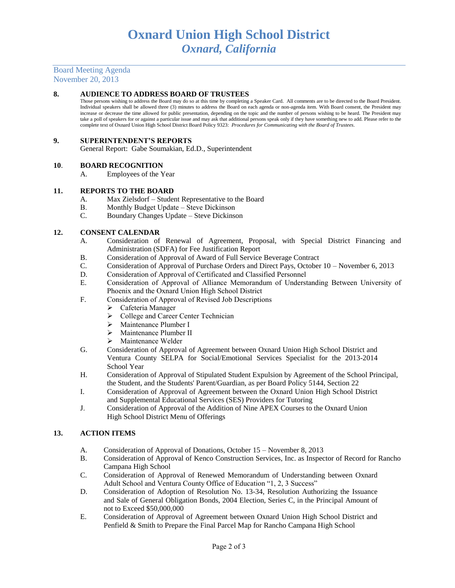Board Meeting Agenda November 20, 2013

## **8. AUDIENCE TO ADDRESS BOARD OF TRUSTEES**

Those persons wishing to address the Board may do so at this time by completing a Speaker Card. All comments are to be directed to the Board President. Individual speakers shall be allowed three (3) minutes to address the Board on each agenda or non-agenda item. With Board consent, the President may increase or decrease the time allowed for public presentation, depending on the topic and the number of persons wishing to be heard. The President may take a poll of speakers for or against a particular issue and may ask that additional persons speak only if they have something new to add. Please refer to the complete text of Oxnard Union High School District Board Policy 9323: *Procedures for Communicating with the Board of Trustees.*

#### **9. SUPERINTENDENT'S REPORTS**

General Report: Gabe Soumakian, Ed.D., Superintendent

#### **10**. **BOARD RECOGNITION**

A. Employees of the Year

#### **11. REPORTS TO THE BOARD**

- A. Max Zielsdorf Student Representative to the Board
- B. Monthly Budget Update Steve Dickinson
- C. Boundary Changes Update Steve Dickinson

#### **12. CONSENT CALENDAR**

- A. Consideration of Renewal of Agreement, Proposal, with Special District Financing and Administration (SDFA) for Fee Justification Report
- B. Consideration of Approval of Award of Full Service Beverage Contract
- C. Consideration of Approval of Purchase Orders and Direct Pays, October 10 November 6, 2013
- D. Consideration of Approval of Certificated and Classified Personnel
- E. Consideration of Approval of Alliance Memorandum of Understanding Between University of Phoenix and the Oxnard Union High School District
- F. Consideration of Approval of Revised Job Descriptions
	- Cafeteria Manager
	- College and Career Center Technician
	- > Maintenance Plumber I
	- > Maintenance Plumber II
	- $\triangleright$  Maintenance Welder
- G. Consideration of Approval of Agreement between Oxnard Union High School District and Ventura County SELPA for Social/Emotional Services Specialist for the 2013-2014 School Year
- H. Consideration of Approval of Stipulated Student Expulsion by Agreement of the School Principal, the Student, and the Students' Parent/Guardian, as per Board Policy 5144, Section 22
- I. Consideration of Approval of Agreement between the Oxnard Union High School District and Supplemental Educational Services (SES) Providers for Tutoring
- J. Consideration of Approval of the Addition of Nine APEX Courses to the Oxnard Union High School District Menu of Offerings

## **13. ACTION ITEMS**

- A. Consideration of Approval of Donations, October 15 November 8, 2013
- B. Consideration of Approval of Kenco Construction Services, Inc. as Inspector of Record for Rancho Campana High School
- C. Consideration of Approval of Renewed Memorandum of Understanding between Oxnard Adult School and Ventura County Office of Education "1, 2, 3 Success"
- D. Consideration of Adoption of Resolution No. 13-34, Resolution Authorizing the Issuance and Sale of General Obligation Bonds, 2004 Election, Series C, in the Principal Amount of not to Exceed \$50,000,000
- E. Consideration of Approval of Agreement between Oxnard Union High School District and Penfield & Smith to Prepare the Final Parcel Map for Rancho Campana High School